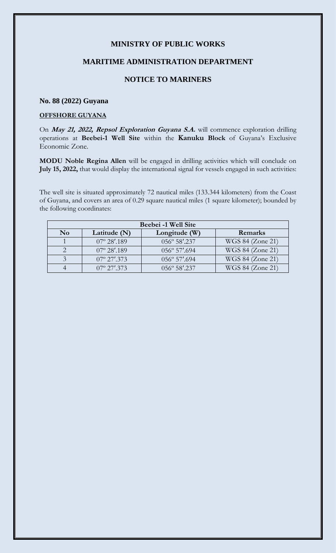## **MINISTRY OF PUBLIC WORKS**

### **MARITIME ADMINISTRATION DEPARTMENT**

# **NOTICE TO MARINERS**

### **No. 88 (2022) Guyana**

### **OFFSHORE GUYANA**

On **May 21, 2022, Repsol Exploration Guyana S.A.** will commence exploration drilling operations at **Beebei-1 Well Site** within the **Kanuku Block** of Guyana's Exclusive Economic Zone.

**MODU Noble Regina Allen** will be engaged in drilling activities which will conclude on **July 15, 2022,** that would display the international signal for vessels engaged in such activities:

The well site is situated approximately 72 nautical miles (133.344 kilometers) from the Coast of Guyana, and covers an area of 0.29 square nautical miles (1 square kilometer); bounded by the following coordinates:

| Beebei -1 Well Site |                       |                       |                  |
|---------------------|-----------------------|-----------------------|------------------|
| N <sub>0</sub>      | Latitude (N)          | Longitude (W)         | <b>Remarks</b>   |
|                     | $07^{\circ} 28'$ .189 | 056° 58'.237          | WGS 84 (Zone 21) |
|                     | $07^{\circ} 28'$ .189 | $056^{\circ}$ 57'.694 | WGS 84 (Zone 21) |
|                     | $07^{\circ}$ 27'.373  | $056^{\circ}$ 57'.694 | WGS 84 (Zone 21) |
|                     | $07^{\circ}$ 27'.373  | 056° 58'.237          | WGS 84 (Zone 21) |